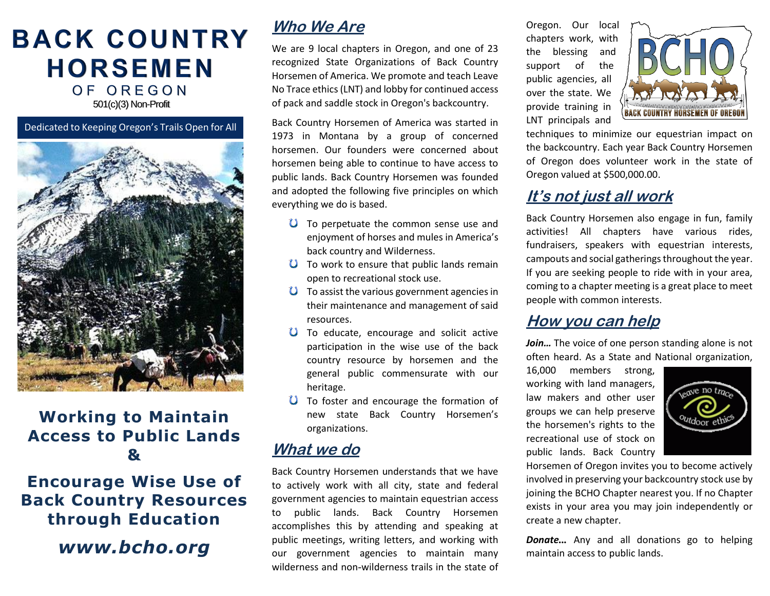# **BACK COUNTRY HORSEMEN** OF OREGON

501(c)(3) Non-Profit

Dedicated to Keeping Oregon's Trails Open for All



### **Working to Maintain Access to Public Lands &**

# **Encourage Wise Use of Back Country Resources through Education**

*www.bcho.org*

# **Who We Are**

We are 9 local chapters in Oregon, and one of 23 recognized State Organizations of Back Country Horsemen of America. We promote and teach Leave No Trace ethics (LNT) and lobby for continued access of pack and saddle stock in Oregon's backcountry.

Back Country Horsemen of America was started in 1973 in Montana by a group of concerned horsemen. Our founders were concerned about horsemen being able to continue to have access to public lands. Back Country Horsemen was founded and adopted the following five principles on which everything we do is based.

- $\bullet$  To perpetuate the common sense use and enjoyment of horses and mules in America's back country and Wilderness.
- $\bullet$  To work to ensure that public lands remain open to recreational stock use.
- $\bullet$  To assist the various government agencies in their maintenance and management of said resources.
- **U** To educate, encourage and solicit active participation in the wise use of the back country resource by horsemen and the general public commensurate with our heritage.
- **U** To foster and encourage the formation of new state Back Country Horsemen's organizations.

# **What we do**

Back Country Horsemen understands that we have to actively work with all city, state and federal government agencies to maintain equestrian access to public lands. Back Country Horsemen accomplishes this by attending and speaking at public meetings, writing letters, and working with our government agencies to maintain many wilderness and non-wilderness trails in the state of Oregon. Our local chapters work, with the blessing and support of the public agencies, all over the state. We provide training in LNT principals and



techniques to minimize our equestrian impact on the backcountry. Each year Back Country Horsemen of Oregon does volunteer work in the state of Oregon valued at \$500,000.00.

## **It's not just all work**

Back Country Horsemen also engage in fun, family activities! All chapters have various rides, fundraisers, speakers with equestrian interests, campouts and social gatherings throughout the year. If you are seeking people to ride with in your area, coming to a chapter meeting is a great place to meet people with common interests.

#### **How you can help**

*Join…* The voice of one person standing alone is not often heard. As a State and National organization,

16,000 members strong, working with land managers, law makers and other user groups we can help preserve the horsemen's rights to the recreational use of stock on public lands. Back Country



Horsemen of Oregon invites you to become actively involved in preserving your backcountry stock use by joining the BCHO Chapter nearest you. If no Chapter exists in your area you may join independently or create a new chapter.

*Donate...* Any and all donations go to helping maintain access to public lands.